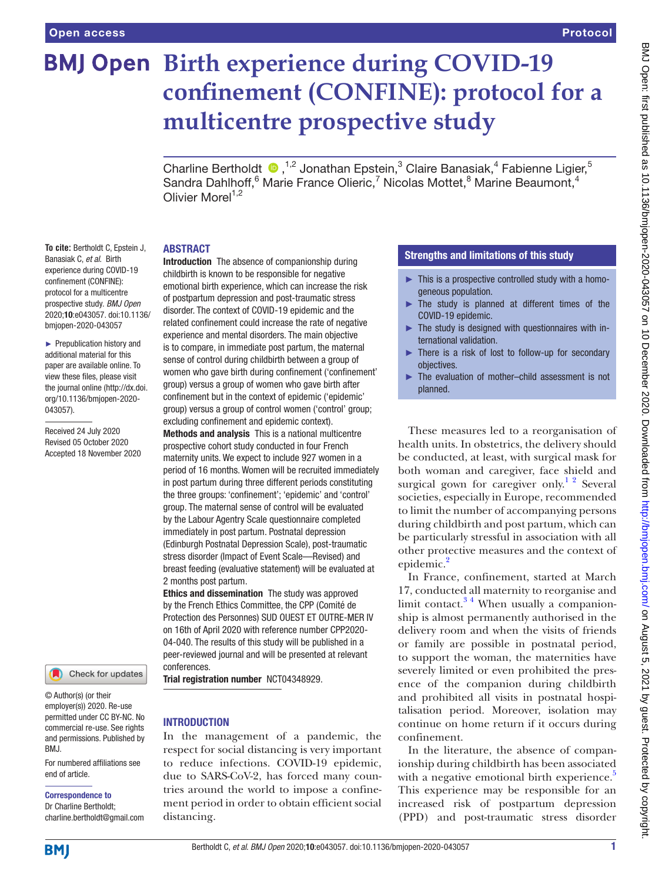# **BMJ Open Birth experience during COVID-19 confinement (CONFINE): protocol for a multicentre prospective study**

Charline Bertholdt  $\bullet$ ,<sup>1,2</sup> Jonathan Epstein,<sup>3</sup> Claire Banasiak,<sup>4</sup> Fabienne Ligier,<sup>5</sup> Sandra Dahlhoff, <sup>6</sup> Marie France Olieric, <sup>7</sup> Nicolas Mottet, <sup>8</sup> Marine Beaumont, <sup>4</sup> Olivier More $1^{1,2}$ 

## ABSTRACT

**To cite:** Bertholdt C, Epstein J, Banasiak C, *et al*. Birth experience during COVID-19 confinement (CONFINE): protocol for a multicentre prospective study. *BMJ Open* 2020;10:e043057. doi:10.1136/ bmjopen-2020-043057

► Prepublication history and additional material for this paper are available online. To view these files, please visit the journal online (http://dx.doi. org/10.1136/bmjopen-2020- 043057).

Received 24 July 2020 Revised 05 October 2020 Accepted 18 November 2020



© Author(s) (or their employer(s)) 2020. Re-use permitted under CC BY-NC. No commercial re-use. See rights and permissions. Published by BMJ.

For numbered affiliations see end of article.

Correspondence to

Dr Charline Bertholdt; charline.bertholdt@gmail.com childbirth is known to be responsible for negative emotional birth experience, which can increase the risk of postpartum depression and post-traumatic stress disorder. The context of COVID-19 epidemic and the related confinement could increase the rate of negative experience and mental disorders. The main objective is to compare, in immediate post partum, the maternal sense of control during childbirth between a group of women who gave birth during confinement ('confinement' group) versus a group of women who gave birth after confinement but in the context of epidemic ('epidemic' group) versus a group of control women ('control' group; excluding confinement and epidemic context). Methods and analysis This is a national multicentre prospective cohort study conducted in four French maternity units. We expect to include 927 women in a period of 16 months. Women will be recruited immediately in post partum during three different periods constituting the three groups: 'confinement'; 'epidemic' and 'control' group. The maternal sense of control will be evaluated by the Labour Agentry Scale questionnaire completed immediately in post partum. Postnatal depression (Edinburgh Postnatal Depression Scale), post-traumatic stress disorder (Impact of Event Scale—Revised) and breast feeding (evaluative statement) will be evaluated at 2 months post partum.

Introduction The absence of companionship during

Ethics and dissemination The study was approved by the French Ethics Committee, the CPP (Comité de Protection des Personnes) SUD OUEST ET OUTRE-MER IV on 16th of April 2020 with reference number CPP2020- 04-040. The results of this study will be published in a peer-reviewed journal and will be presented at relevant conferences.

Trial registration number <NCT04348929>.

# **INTRODUCTION**

In the management of a pandemic, the respect for social distancing is very important to reduce infections. COVID-19 epidemic, due to SARS-CoV-2, has forced many countries around the world to impose a confinement period in order to obtain efficient social distancing.

# Strengths and limitations of this study

- ► This is a prospective controlled study with a homogeneous population.
- ► The study is planned at different times of the COVID-19 epidemic.
- The study is designed with questionnaires with international validation.
- ► There is a risk of lost to follow-up for secondary objectives.
- ► The evaluation of mother–child assessment is not planned.

These measures led to a reorganisation of health units. In obstetrics, the delivery should be conducted, at least, with surgical mask for both woman and caregiver, face shield and surgical gown for caregiver only.<sup>1</sup> <sup>2</sup> Several societies, especially in Europe, recommended to limit the number of accompanying persons during childbirth and post partum, which can be particularly stressful in association with all other protective measures and the context of epidemic.<sup>[2](#page-6-1)</sup>

In France, confinement, started at March 17, conducted all maternity to reorganise and limit contact. $3<sup>4</sup>$  When usually a companionship is almost permanently authorised in the delivery room and when the visits of friends or family are possible in postnatal period, to support the woman, the maternities have severely limited or even prohibited the presence of the companion during childbirth and prohibited all visits in postnatal hospitalisation period. Moreover, isolation may continue on home return if it occurs during confinement.

In the literature, the absence of companionship during childbirth has been associated with a negative emotional birth experience.<sup>5</sup> This experience may be responsible for an increased risk of postpartum depression (PPD) and post-traumatic stress disorder

**BMI**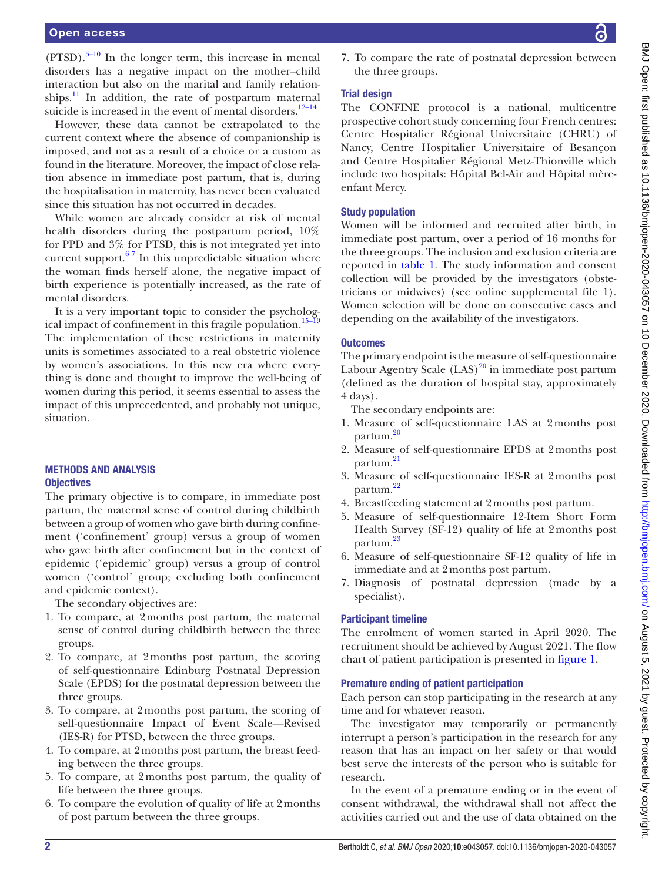### Open access

 $(PTSD)$ .<sup>5–10</sup> In the longer term, this increase in mental disorders has a negative impact on the mother–child interaction but also on the marital and family relationships. $\frac{11}{11}$  In addition, the rate of postpartum maternal suicide is increased in the event of mental disorders.<sup>12-14</sup>

However, these data cannot be extrapolated to the current context where the absence of companionship is imposed, and not as a result of a choice or a custom as found in the literature. Moreover, the impact of close relation absence in immediate post partum, that is, during the hospitalisation in maternity, has never been evaluated since this situation has not occurred in decades.

While women are already consider at risk of mental health disorders during the postpartum period, 10% for PPD and 3% for PTSD, this is not integrated yet into current support. $67$  In this unpredictable situation where the woman finds herself alone, the negative impact of birth experience is potentially increased, as the rate of mental disorders.

It is a very important topic to consider the psychological impact of confinement in this fragile population[.15–19](#page-6-7) The implementation of these restrictions in maternity units is sometimes associated to a real obstetric violence by women's associations. In this new era where everything is done and thought to improve the well-being of women during this period, it seems essential to assess the impact of this unprecedented, and probably not unique, situation.

# METHODS AND ANALYSIS **Objectives**

The primary objective is to compare, in immediate post partum, the maternal sense of control during childbirth between a group of women who gave birth during confinement ('confinement' group) versus a group of women who gave birth after confinement but in the context of epidemic ('epidemic' group) versus a group of control women ('control' group; excluding both confinement and epidemic context).

The secondary objectives are:

- 1. To compare, at 2months post partum, the maternal sense of control during childbirth between the three groups.
- 2. To compare, at 2months post partum, the scoring of self-questionnaire Edinburg Postnatal Depression Scale (EPDS) for the postnatal depression between the three groups.
- 3. To compare, at 2months post partum, the scoring of self-questionnaire Impact of Event Scale—Revised (IES-R) for PTSD, between the three groups.
- 4. To compare, at 2months post partum, the breast feeding between the three groups.
- 5. To compare, at 2months post partum, the quality of life between the three groups.
- 6. To compare the evolution of quality of life at 2months of post partum between the three groups.

7. To compare the rate of postnatal depression between the three groups.

# Trial design

The CONFINE protocol is a national, multicentre prospective cohort study concerning four French centres: Centre Hospitalier Régional Universitaire (CHRU) of Nancy, Centre Hospitalier Universitaire of Besançon and Centre Hospitalier Régional Metz-Thionville which include two hospitals: Hôpital Bel-Air and Hôpital mèreenfant Mercy.

## Study population

Women will be informed and recruited after birth, in immediate post partum, over a period of 16 months for the three groups. The inclusion and exclusion criteria are reported in [table](#page-2-0) 1. The study information and consent collection will be provided by the investigators (obstetricians or midwives) (see [online supplemental file 1\)](https://dx.doi.org/10.1136/bmjopen-2020-043057). Women selection will be done on consecutive cases and depending on the availability of the investigators.

### **Outcomes**

The primary endpoint is the measure of self-questionnaire Labour Agentry Scale  $(LAS)^{20}$  in immediate post partum (defined as the duration of hospital stay, approximately 4 days).

The secondary endpoints are:

- 1. Measure of self-questionnaire LAS at 2months post partum.<sup>[20](#page-6-8)</sup>
- 2. Measure of self-questionnaire EPDS at 2months post partum.<sup>[21](#page-6-9)</sup>
- 3. Measure of self-questionnaire IES-R at 2months post partum.<sup>[22](#page-6-10)</sup>
- 4. Breastfeeding statement at 2months post partum.
- 5. Measure of self-questionnaire 12-Item Short Form Health Survey (SF-12) quality of life at 2months post partum.<sup>[23](#page-6-11)</sup>
- 6. Measure of self-questionnaire SF-12 quality of life in immediate and at 2months post partum.
- 7. Diagnosis of postnatal depression (made by a specialist).

## Participant timeline

The enrolment of women started in April 2020. The recruitment should be achieved by August 2021. The flow chart of patient participation is presented in [figure](#page-2-1) 1.

## Premature ending of patient participation

Each person can stop participating in the research at any time and for whatever reason.

The investigator may temporarily or permanently interrupt a person's participation in the research for any reason that has an impact on her safety or that would best serve the interests of the person who is suitable for research.

In the event of a premature ending or in the event of consent withdrawal, the withdrawal shall not affect the activities carried out and the use of data obtained on the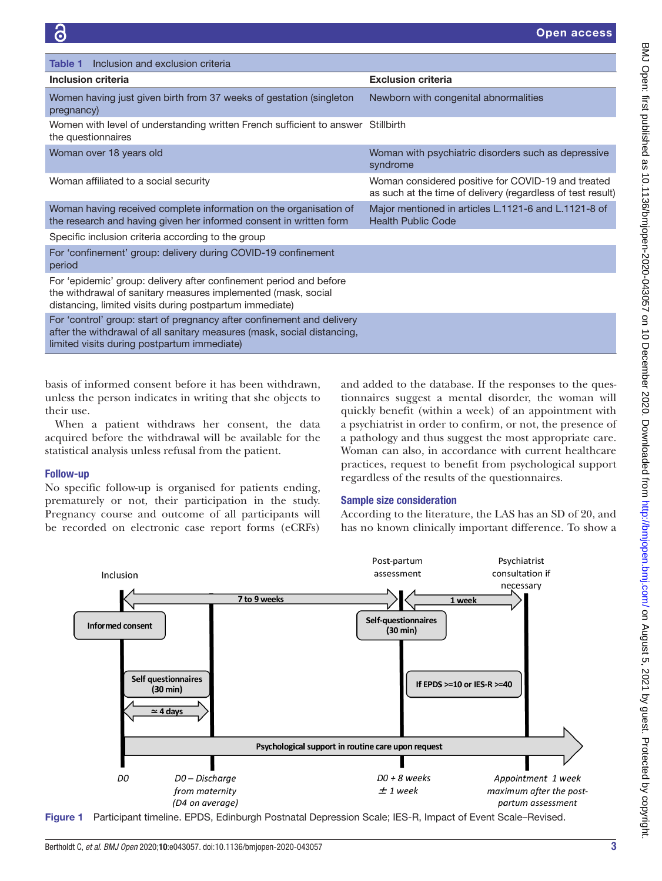<span id="page-2-0"></span>

| Inclusion and exclusion criteria<br>Table 1                                                                                                                                                      |                                                                                                                   |
|--------------------------------------------------------------------------------------------------------------------------------------------------------------------------------------------------|-------------------------------------------------------------------------------------------------------------------|
| Inclusion criteria                                                                                                                                                                               | <b>Exclusion criteria</b>                                                                                         |
| Women having just given birth from 37 weeks of gestation (singleton<br>pregnancy)                                                                                                                | Newborn with congenital abnormalities                                                                             |
| Women with level of understanding written French sufficient to answer<br>the questionnaires                                                                                                      | Stillbirth                                                                                                        |
| Woman over 18 years old                                                                                                                                                                          | Woman with psychiatric disorders such as depressive<br>syndrome                                                   |
| Woman affiliated to a social security                                                                                                                                                            | Woman considered positive for COVID-19 and treated<br>as such at the time of delivery (regardless of test result) |
| Woman having received complete information on the organisation of<br>the research and having given her informed consent in written form                                                          | Major mentioned in articles L.1121-6 and L.1121-8 of<br><b>Health Public Code</b>                                 |
| Specific inclusion criteria according to the group                                                                                                                                               |                                                                                                                   |
| For 'confinement' group: delivery during COVID-19 confinement<br>period                                                                                                                          |                                                                                                                   |
| For 'epidemic' group: delivery after confinement period and before<br>the withdrawal of sanitary measures implemented (mask, social<br>distancing, limited visits during postpartum immediate)   |                                                                                                                   |
| For 'control' group: start of pregnancy after confinement and delivery<br>after the withdrawal of all sanitary measures (mask, social distancing,<br>limited visits during postpartum immediate) |                                                                                                                   |

basis of informed consent before it has been withdrawn, unless the person indicates in writing that she objects to their use.

When a patient withdraws her consent, the data acquired before the withdrawal will be available for the statistical analysis unless refusal from the patient.

## Follow-up

No specific follow-up is organised for patients ending, prematurely or not, their participation in the study. Pregnancy course and outcome of all participants will be recorded on electronic case report forms (eCRFs)

and added to the database. If the responses to the questionnaires suggest a mental disorder, the woman will quickly benefit (within a week) of an appointment with a psychiatrist in order to confirm, or not, the presence of a pathology and thus suggest the most appropriate care. Woman can also, in accordance with current healthcare practices, request to benefit from psychological support regardless of the results of the questionnaires.

## Sample size consideration

According to the literature, the LAS has an SD of 20, and has no known clinically important difference. To show a



<span id="page-2-1"></span>Figure 1 Participant timeline. EPDS, Edinburgh Postnatal Depression Scale; IES-R, Impact of Event Scale–Revised.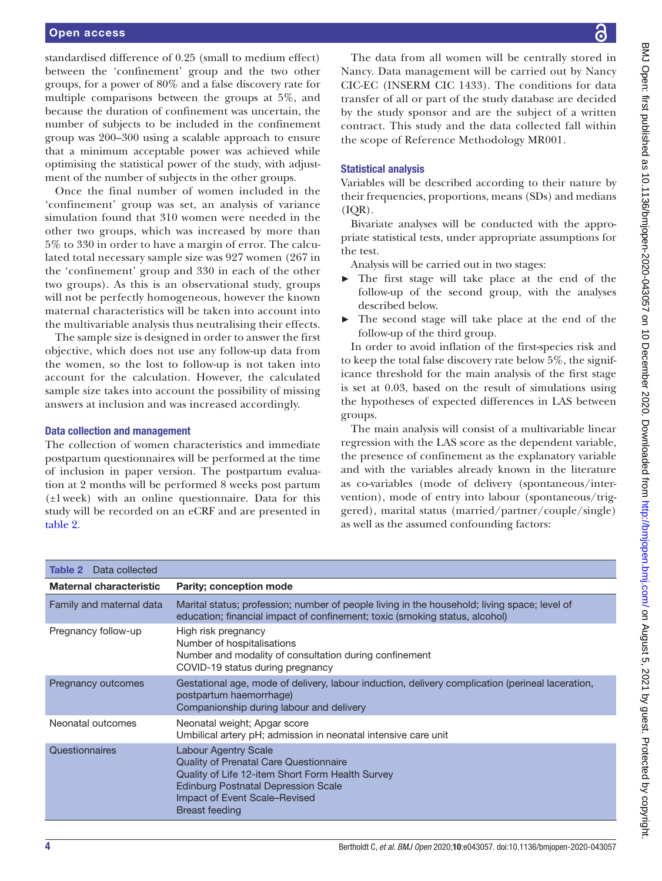### Open access

standardised difference of 0.25 (small to medium effect) between the 'confinement' group and the two other groups, for a power of 80% and a false discovery rate for multiple comparisons between the groups at 5%, and because the duration of confinement was uncertain, the number of subjects to be included in the confinement group was 200–300 using a scalable approach to ensure that a minimum acceptable power was achieved while optimising the statistical power of the study, with adjustment of the number of subjects in the other groups.

Once the final number of women included in the 'confinement' group was set, an analysis of variance simulation found that 310 women were needed in the other two groups, which was increased by more than 5% to 330 in order to have a margin of error. The calculated total necessary sample size was 927 women (267 in the 'confinement' group and 330 in each of the other two groups). As this is an observational study, groups will not be perfectly homogeneous, however the known maternal characteristics will be taken into account into the multivariable analysis thus neutralising their effects.

The sample size is designed in order to answer the first objective, which does not use any follow-up data from the women, so the lost to follow-up is not taken into account for the calculation. However, the calculated sample size takes into account the possibility of missing answers at inclusion and was increased accordingly.

### Data collection and management

The collection of women characteristics and immediate postpartum questionnaires will be performed at the time of inclusion in paper version. The postpartum evaluation at 2 months will be performed 8 weeks post partum (±1week) with an online questionnaire. Data for this study will be recorded on an eCRF and are presented in [table](#page-3-0) 2.

The data from all women will be centrally stored in Nancy. Data management will be carried out by Nancy CIC-EC (INSERM CIC 1433). The conditions for data transfer of all or part of the study database are decided by the study sponsor and are the subject of a written contract. This study and the data collected fall within the scope of Reference Methodology MR001.

# Statistical analysis

Variables will be described according to their nature by their frequencies, proportions, means (SDs) and medians (IQR).

Bivariate analyses will be conducted with the appropriate statistical tests, under appropriate assumptions for the test.

Analysis will be carried out in two stages:

- The first stage will take place at the end of the follow-up of the second group, with the analyses described below.
- The second stage will take place at the end of the follow-up of the third group.

In order to avoid inflation of the first-species risk and to keep the total false discovery rate below 5%, the significance threshold for the main analysis of the first stage is set at 0.03, based on the result of simulations using the hypotheses of expected differences in LAS between groups.

The main analysis will consist of a multivariable linear regression with the LAS score as the dependent variable, the presence of confinement as the explanatory variable and with the variables already known in the literature as co-variables (mode of delivery (spontaneous/intervention), mode of entry into labour (spontaneous/triggered), marital status (married/partner/couple/single) as well as the assumed confounding factors:

<span id="page-3-0"></span>

| Data collected<br>Table 2      |                                                                                                                                                                                                                                   |
|--------------------------------|-----------------------------------------------------------------------------------------------------------------------------------------------------------------------------------------------------------------------------------|
| <b>Maternal characteristic</b> | <b>Parity: conception mode</b>                                                                                                                                                                                                    |
| Family and maternal data       | Marital status; profession; number of people living in the household; living space; level of<br>education; financial impact of confinement; toxic (smoking status, alcohol)                                                       |
| Pregnancy follow-up            | High risk pregnancy<br>Number of hospitalisations<br>Number and modality of consultation during confinement<br>COVID-19 status during pregnancy                                                                                   |
| Pregnancy outcomes             | Gestational age, mode of delivery, labour induction, delivery complication (perineal laceration,<br>postpartum haemorrhage)<br>Companionship during labour and delivery                                                           |
| Neonatal outcomes              | Neonatal weight; Apgar score<br>Umbilical artery pH; admission in neonatal intensive care unit                                                                                                                                    |
| Questionnaires                 | <b>Labour Agentry Scale</b><br>Quality of Prenatal Care Questionnaire<br>Quality of Life 12-item Short Form Health Survey<br><b>Edinburg Postnatal Depression Scale</b><br>Impact of Event Scale-Revised<br><b>Breast feeding</b> |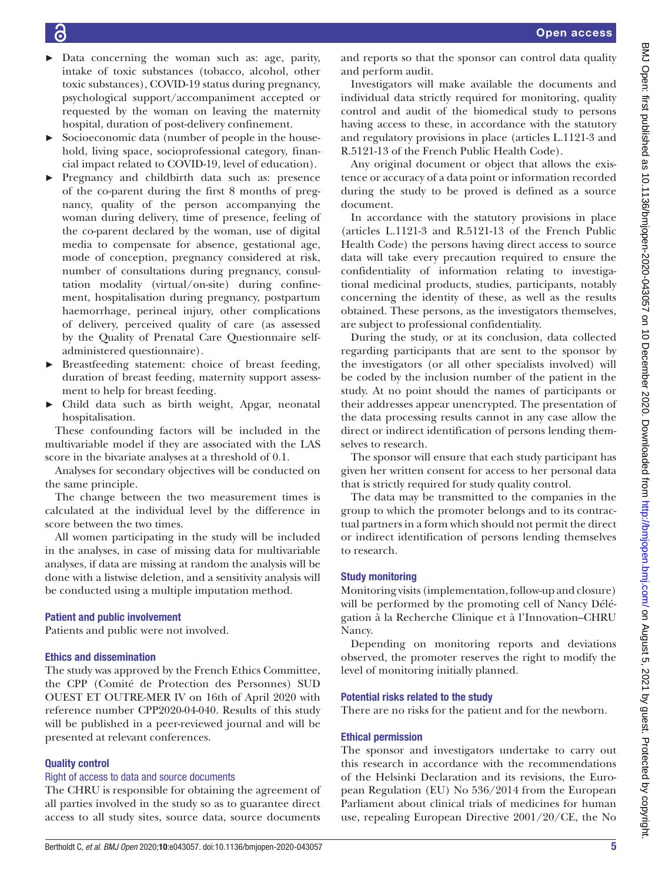- Data concerning the woman such as: age, parity, intake of toxic substances (tobacco, alcohol, other toxic substances), COVID-19 status during pregnancy, psychological support/accompaniment accepted or requested by the woman on leaving the maternity hospital, duration of post-delivery confinement.
- Socioeconomic data (number of people in the household, living space, socioprofessional category, financial impact related to COVID-19, level of education).
- ► Pregnancy and childbirth data such as: presence of the co-parent during the first 8 months of pregnancy, quality of the person accompanying the woman during delivery, time of presence, feeling of the co-parent declared by the woman, use of digital media to compensate for absence, gestational age, mode of conception, pregnancy considered at risk, number of consultations during pregnancy, consultation modality (virtual/on-site) during confinement, hospitalisation during pregnancy, postpartum haemorrhage, perineal injury, other complications of delivery, perceived quality of care (as assessed by the Quality of Prenatal Care Questionnaire selfadministered questionnaire).
- ► Breastfeeding statement: choice of breast feeding, duration of breast feeding, maternity support assessment to help for breast feeding.
- ► Child data such as birth weight, Apgar, neonatal hospitalisation.

These confounding factors will be included in the multivariable model if they are associated with the LAS score in the bivariate analyses at a threshold of 0.1.

Analyses for secondary objectives will be conducted on the same principle.

The change between the two measurement times is calculated at the individual level by the difference in score between the two times.

All women participating in the study will be included in the analyses, in case of missing data for multivariable analyses, if data are missing at random the analysis will be done with a listwise deletion, and a sensitivity analysis will be conducted using a multiple imputation method.

## Patient and public involvement

Patients and public were not involved.

## Ethics and dissemination

The study was approved by the French Ethics Committee, the CPP (Comité de Protection des Personnes) SUD OUEST ET OUTRE-MER IV on 16th of April 2020 with reference number CPP2020-04-040. Results of this study will be published in a peer-reviewed journal and will be presented at relevant conferences.

## Quality control

## Right of access to data and source documents

The CHRU is responsible for obtaining the agreement of all parties involved in the study so as to guarantee direct access to all study sites, source data, source documents

and reports so that the sponsor can control data quality and perform audit.

Investigators will make available the documents and individual data strictly required for monitoring, quality control and audit of the biomedical study to persons having access to these, in accordance with the statutory and regulatory provisions in place (articles L.1121-3 and R.5121-13 of the French Public Health Code).

Any original document or object that allows the existence or accuracy of a data point or information recorded during the study to be proved is defined as a source document.

In accordance with the statutory provisions in place (articles L.1121-3 and R.5121-13 of the French Public Health Code) the persons having direct access to source data will take every precaution required to ensure the confidentiality of information relating to investigational medicinal products, studies, participants, notably concerning the identity of these, as well as the results obtained. These persons, as the investigators themselves, are subject to professional confidentiality.

During the study, or at its conclusion, data collected regarding participants that are sent to the sponsor by the investigators (or all other specialists involved) will be coded by the inclusion number of the patient in the study. At no point should the names of participants or their addresses appear unencrypted. The presentation of the data processing results cannot in any case allow the direct or indirect identification of persons lending themselves to research.

The sponsor will ensure that each study participant has given her written consent for access to her personal data that is strictly required for study quality control.

The data may be transmitted to the companies in the group to which the promoter belongs and to its contractual partners in a form which should not permit the direct or indirect identification of persons lending themselves to research.

## Study monitoring

Monitoring visits (implementation, follow-up and closure) will be performed by the promoting cell of Nancy Délégation à la Recherche Clinique et à l'Innovation–CHRU Nancy.

Depending on monitoring reports and deviations observed, the promoter reserves the right to modify the level of monitoring initially planned.

## Potential risks related to the study

There are no risks for the patient and for the newborn.

## Ethical permission

The sponsor and investigators undertake to carry out this research in accordance with the recommendations of the Helsinki Declaration and its revisions, the European Regulation (EU) No 536/2014 from the European Parliament about clinical trials of medicines for human use, repealing European Directive 2001/20/CE, the No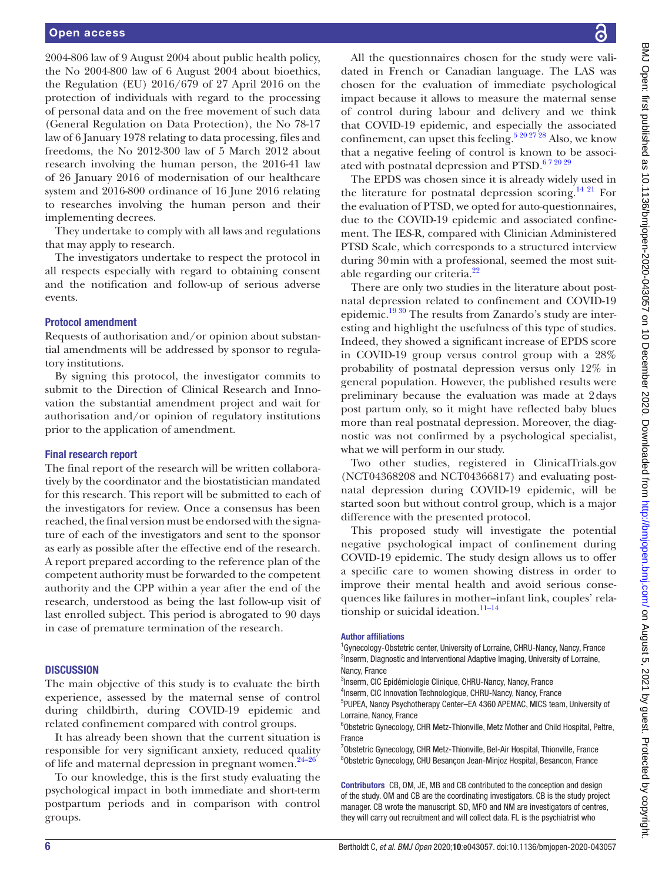2004-806 law of 9 August 2004 about public health policy, the No 2004-800 law of 6 August 2004 about bioethics, the Regulation (EU) 2016/679 of 27 April 2016 on the protection of individuals with regard to the processing of personal data and on the free movement of such data (General Regulation on Data Protection), the No 78-17 law of 6 January 1978 relating to data processing, files and freedoms, the No 2012-300 law of 5 March 2012 about research involving the human person, the 2016-41 law of 26 January 2016 of modernisation of our healthcare system and 2016-800 ordinance of 16 June 2016 relating to researches involving the human person and their implementing decrees.

They undertake to comply with all laws and regulations that may apply to research.

The investigators undertake to respect the protocol in all respects especially with regard to obtaining consent and the notification and follow-up of serious adverse events.

### Protocol amendment

Requests of authorisation and/or opinion about substantial amendments will be addressed by sponsor to regulatory institutions.

By signing this protocol, the investigator commits to submit to the Direction of Clinical Research and Innovation the substantial amendment project and wait for authorisation and/or opinion of regulatory institutions prior to the application of amendment.

### Final research report

The final report of the research will be written collaboratively by the coordinator and the biostatistician mandated for this research. This report will be submitted to each of the investigators for review. Once a consensus has been reached, the final version must be endorsed with the signature of each of the investigators and sent to the sponsor as early as possible after the effective end of the research. A report prepared according to the reference plan of the competent authority must be forwarded to the competent authority and the CPP within a year after the end of the research, understood as being the last follow-up visit of last enrolled subject. This period is abrogated to 90 days in case of premature termination of the research.

### **DISCUSSION**

The main objective of this study is to evaluate the birth experience, assessed by the maternal sense of control during childbirth, during COVID-19 epidemic and related confinement compared with control groups.

It has already been shown that the current situation is responsible for very significant anxiety, reduced quality of life and maternal depression in pregnant women. $24-26$ 

To our knowledge, this is the first study evaluating the psychological impact in both immediate and short-term postpartum periods and in comparison with control groups.

All the questionnaires chosen for the study were validated in French or Canadian language. The LAS was chosen for the evaluation of immediate psychological impact because it allows to measure the maternal sense of control during labour and delivery and we think that COVID-19 epidemic, and especially the associated confinement, can upset this feeling.<sup>5 20 27 28</sup> Also, we know that a negative feeling of control is known to be associated with postnatal depression and PTSD.<sup>672029</sup>

The EPDS was chosen since it is already widely used in the literature for postnatal depression scoring.<sup>14 21</sup> For the evaluation of PTSD, we opted for auto-questionnaires, due to the COVID-19 epidemic and associated confinement. The IES-R, compared with Clinician Administered PTSD Scale, which corresponds to a structured interview during 30min with a professional, seemed the most suit-able regarding our criteria.<sup>[22](#page-6-10)</sup>

There are only two studies in the literature about postnatal depression related to confinement and COVID-19 epidemic.[19 30](#page-6-14) The results from Zanardo's study are interesting and highlight the usefulness of this type of studies. Indeed, they showed a significant increase of EPDS score in COVID-19 group versus control group with a 28% probability of postnatal depression versus only 12% in general population. However, the published results were preliminary because the evaluation was made at 2days post partum only, so it might have reflected baby blues more than real postnatal depression. Moreover, the diagnostic was not confirmed by a psychological specialist, what we will perform in our study.

Two other studies, registered in ClinicalTrials.gov (NCT04368208 and NCT04366817) and evaluating postnatal depression during COVID-19 epidemic, will be started soon but without control group, which is a major difference with the presented protocol.

This proposed study will investigate the potential negative psychological impact of confinement during COVID-19 epidemic. The study design allows us to offer a specific care to women showing distress in order to improve their mental health and avoid serious consequences like failures in mother–infant link, couples' relationship or suicidal ideation. $11-14$ 

### Author affiliations

<sup>1</sup> Gynecology-Obstetric center, University of Lorraine, CHRU-Nancy, Nancy, France <sup>2</sup>Inserm, Diagnostic and Interventional Adaptive Imaging, University of Lorraine, Nancy, France

<sup>3</sup>Inserm, CIC Epidémiologie Clinique, CHRU-Nancy, Nancy, France

4 Inserm, CIC Innovation Technologique, CHRU-Nancy, Nancy, France 5 PUPEA, Nancy Psychotherapy Center–EA 4360 APEMAC, MICS team, University of Lorraine, Nancy, France

<sup>6</sup>Obstetric Gynecology, CHR Metz-Thionville, Metz Mother and Child Hospital, Peltre, France

<sup>7</sup>Obstetric Gynecology, CHR Metz-Thionville, Bel-Air Hospital, Thionville, France 8 Obstetric Gynecology, CHU Besançon Jean-Minjoz Hospital, Besancon, France

Contributors CB, OM, JE, MB and CB contributed to the conception and design of the study. OM and CB are the coordinating investigators. CB is the study project manager. CB wrote the manuscript. SD, MFO and NM are investigators of centres, they will carry out recruitment and will collect data. FL is the psychiatrist who